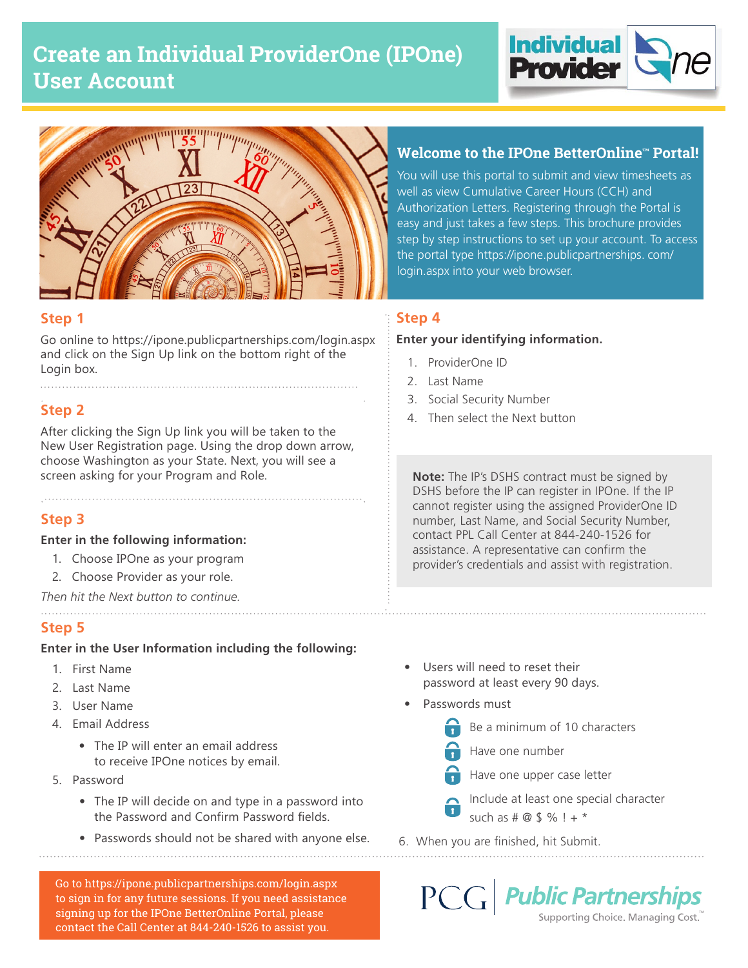# **Create an Individual ProviderOne (IPOne) User Account**





## **Step 1**

Go online to https://ipone.publicpartnerships.com/login.aspx and click on the Sign Up link on the bottom right of the Login box.

## **Step 2**

After clicking the Sign Up link you will be taken to the New User Registration page. Using the drop down arrow, choose Washington as your State. Next, you will see a screen asking for your Program and Role.

## **Step 3**

### **Enter in the following information:**

- 1. Choose IPOne as your program
- 2. Choose Provider as your role.

*Then hit the Next button to continue.*

## **Step 5**

### **Enter in the User Information including the following:**

- 1. First Name
- 2. Last Name
- 3. User Name
- 4. Email Address
	- The IP will enter an email address to receive IPOne notices by email.
- 5. Password
	- The IP will decide on and type in a password into the Password and Confirm Password fields.
	- Passwords should not be shared with anyone else.

Go to https://ipone.publicpartnerships.com/login.aspx to sign in for any future sessions. If you need assistance signing up for the IPOne BetterOnline Portal, please contact the Call Center at 844-240-1526 to assist you.

## **Welcome to the IPOne BetterOnline™ Portal!**

You will use this portal to submit and view timesheets as well as view Cumulative Career Hours (CCH) and Authorization Letters. Registering through the Portal is easy and just takes a few steps. This brochure provides step by step instructions to set up your account. To access the portal type https://ipone.publicpartnerships. com/ login.aspx into your web browser.

## **Step 4**

### **Enter your identifying information.**

- 1. ProviderOne ID
- 2. Last Name
- 3. Social Security Number
- 4. Then select the Next button

**Note:** The IP's DSHS contract must be signed by DSHS before the IP can register in IPOne. If the IP cannot register using the assigned ProviderOne ID number, Last Name, and Social Security Number, contact PPL Call Center at 844-240-1526 for assistance. A representative can confirm the provider's credentials and assist with registration.

- Users will need to reset their password at least every 90 days.
- Passwords must
	- Be a minimum of 10 characters
	- Have one number
	- Have one upper case letter
	- Include at least one special character such as  $# @ $ \% ! + *$
- 6. When you are finished, hit Submit.

 $PCG$ **Public Partnerships** Supporting Choice. Managing Cost.